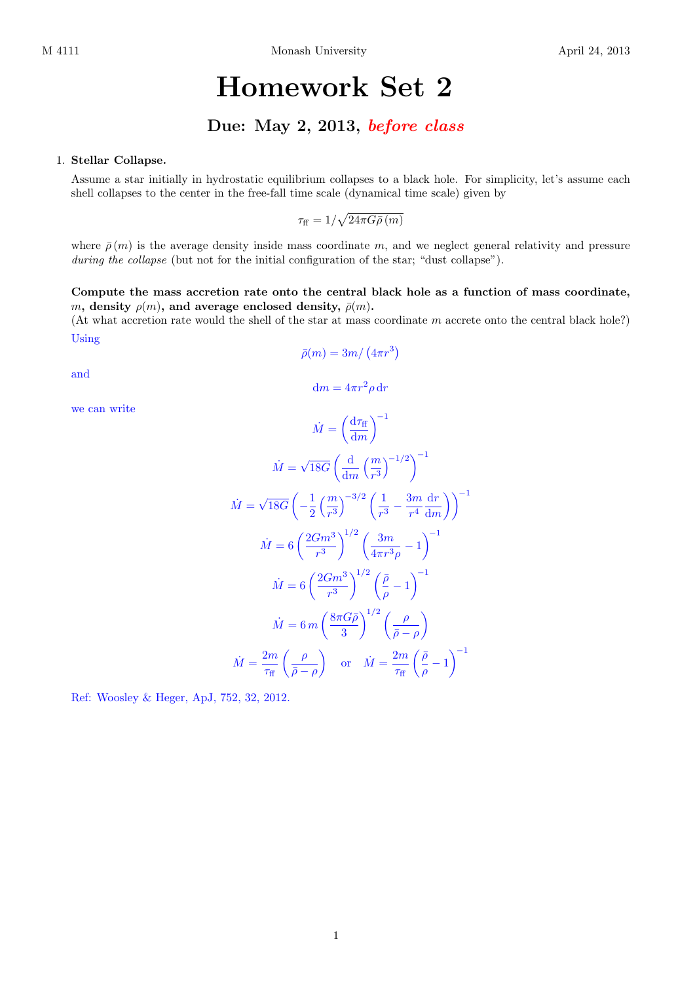## Homework Set 2

## Due: May 2, 2013, before class

## 1. Stellar Collapse.

Assume a star initially in hydrostatic equilibrium collapses to a black hole. For simplicity, let's assume each shell collapses to the center in the free-fall time scale (dynamical time scale) given by

$$
\tau_{\rm ff} = 1/\sqrt{24\pi G\bar{\rho}\left(m\right)}
$$

where  $\bar{\rho}(m)$  is the average density inside mass coordinate m, and we neglect general relativity and pressure during the collapse (but not for the initial configuration of the star; "dust collapse").

Compute the mass accretion rate onto the central black hole as a function of mass coordinate, m, density  $\rho(m)$ , and average enclosed density,  $\bar{\rho}(m)$ .

(At what accretion rate would the shell of the star at mass coordinate m accrete onto the central black hole?) Using

$$
\bar{\rho}(m)=3m/\left(4\pi r^3\right)
$$

and

$$
\mathrm{d}m = 4\pi r^2 \rho \,\mathrm{d}r
$$

we can write

$$
\dot{M} = \left(\frac{d\tau_{\rm ff}}{dm}\right)^{-1}
$$
\n
$$
\dot{M} = \sqrt{18G} \left(\frac{d}{dm} \left(\frac{m}{r^3}\right)^{-1/2}\right)^{-1}
$$
\n
$$
\dot{M} = \sqrt{18G} \left(-\frac{1}{2} \left(\frac{m}{r^3}\right)^{-3/2} \left(\frac{1}{r^3} - \frac{3m}{r^4} \frac{dr}{dm}\right)\right)^{-1}
$$
\n
$$
\dot{M} = 6 \left(\frac{2Gm^3}{r^3}\right)^{1/2} \left(\frac{3m}{4\pi r^3 \rho} - 1\right)^{-1}
$$
\n
$$
\dot{M} = 6 \left(\frac{2Gm^3}{r^3}\right)^{1/2} \left(\frac{\bar{\rho}}{\rho} - 1\right)^{-1}
$$
\n
$$
\dot{M} = 6m \left(\frac{8\pi G\bar{\rho}}{3}\right)^{1/2} \left(\frac{\rho}{\bar{\rho} - \rho}\right)
$$
\n
$$
\dot{M} = \frac{2m}{\tau_{\rm ff}} \left(\frac{\rho}{\bar{\rho} - \rho}\right) \quad \text{or} \quad \dot{M} = \frac{2m}{\tau_{\rm ff}} \left(\frac{\bar{\rho}}{\rho} - 1\right)^{-1}
$$

Ref: Woosley & Heger, ApJ, 752, 32, 2012.